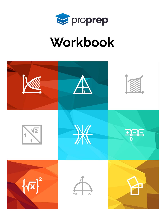

# Workbook

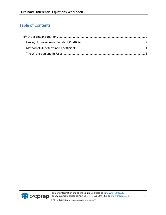# Table of Contents

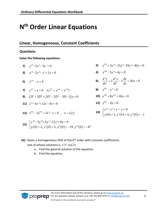# <span id="page-2-0"></span>**N th Order Linear Equations**

# <span id="page-2-1"></span>**Linear, Homogeneous, Constant Coefficients**

## **Questions**

**Solve the following equations:** 

1) 
$$
y''' - 2y'' - 3y' = 0
$$

3) 
$$
y''' - 2y'' - y' + 2y = 0
$$

$$
5) \t y^{(4)} - y = 0
$$

7) 
$$
y^N + y = 0
$$
  $[y^N = y^{(4)} = y''']$ 

9) 
$$
(D^5 + 3D^4 + 2D^3 - 2D^2 - 3D - 1)y = 0
$$

$$
11) \quad z''' - 6z'' + 12z' - 8z = 0
$$

**13)** 
$$
x^{(6)} - 3x^{(4)} + 3x - x = 0
$$
,  $x = x(t)$ 

$$
\begin{cases}\ny'''' - 3y''' + 6y'' - 12y' + 8y = 0 \\
y(0) = 2, y'(0) = 5, y''(0) = -19, y'''(0) = -47\n\end{cases}
$$

2) 
$$
y^{(4)} + 3y''' - 15y'' - 19y' + 30y = 0
$$

4) 
$$
y^{(4)} - 5y'' + 4y = 0
$$

6) 
$$
\frac{d^3y}{dx^3} + 2\frac{d^2y}{dx^2} - 3\frac{dy}{dx} + 20y = 0
$$

$$
8) \t y^{(6)} - y'' = 0
$$

**10)** 
$$
y^{(8)} + 8y^{(4)} + 16y = 0
$$

$$
y^{(4)} - 4y = 0
$$

14) 
$$
\begin{cases} y'''-y''+y'-y=0\\ y(0)=3, y'(0)=4, y''(0)=-1 \end{cases}
$$

- **16)** Given a homogeneous ODE of the 6<sup>th</sup> order with constant coefficients, one of whose solutions is  $x^2 e^x \cos 2x$ .
	- a. Find the general solution of the equation.
	- b. Find the equation.

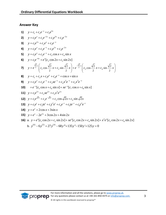#### **Answer Key**

1) 
$$
y = c_1 + c_2e^{-x} + c_3e^{3x}
$$
  
\n2)  $y = c_1e^x + c_2e^{-2x} + c_3e^{3x} + c_4e^{-5x}$   
\n3)  $y = c_1e^x + c_2e^x + c_3e^{-x}$   
\n4)  $y = c_1e^x + c_2e^{-x} + c_3\cos x + c_4\sin x$   
\n6)  $y = c_1e^4 + e^x[c_2\cos 2x + c_3\sin 2x]$   
\n7)  $y = e^{\frac{\sqrt{2}}{2}x} \left(c_1\cos \frac{\sqrt{2}}{2}x + c_2\sin \frac{\sqrt{2}}{2}x\right) + e^{\frac{-\sqrt{2}}{2}x}\left(c_3\cos \frac{\sqrt{2}}{2}x + c_4\sin \frac{\sqrt{2}}{2}x\right)$   
\n8)  $y = c_1e^x + c_2e^{-x} + c_3e^x + c_4e^{-x} + \cos x + \sin x$   
\n9)  $y = c_1e^x + c_2e^{-x} + c_3xe^x + c_4e^{-x} + c_5xe^{3}e^{-x}$   
\n10)  $+ e^{-x}[c_5\cos x + c_6\sin x] + xe^{-x}[c_7\cos x + c_8\sin x]$   
\n11)  $y = c_1e^{2x} + c_2xe^{2x} + c_3x^2e^{2x}$   
\n12)  $y = c_1e^{\sqrt{2}x} + c_2xe^{2x} + c_3x^2e^{2x}$   
\n13)  $y = c_1e^{\sqrt{2}x} + c_2e^{-\sqrt{2}x} + c_3\cos \sqrt{2}x + c_4\sin \sqrt{2}x$   
\n14)  $y = e^x + 2\cos x + 3\sin x$   
\n15)  $y = e^x - 2e^{2x} + 3\cos 2x + 4\sin 2x$   
\n16) a.  $y = e^x[c_1\cos 2x + c_2\sin 2x] + xe^x[c_3\cos 2x + c_4\sin 2x] + x^2e^x[c_5\cos 2x + c_6\sin 2x]$   
\nb.  $y^{(6)} - 6y^{(5)}$ 

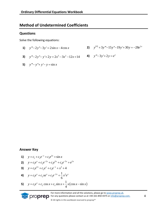# <span id="page-4-0"></span>**Method of Undetermined Coefficients**

#### **Questions**

Solve the following equations:

1)  $y''' - 2y'' - 3y' = 2\sin x - 4\cos x$ 

3) 
$$
y''' - 2y'' - y' + 2y = 2x^3 - 3x^2 - 12x + 14
$$

2) 
$$
y^{(4)} + 3y''' - 15y'' - 19y' + 30y = -28e^{2x}
$$

4) 
$$
y''' - 3y' + 2y = e
$$

5)  $y''' - y'' + y' - y = \sin x$ 

#### **Answer Key**

1) 
$$
y = c_1 + c_2 e^{-x} + c_3 e^{3x} + \sin x
$$

2) 
$$
y = c_1 e^x + c_2 e^{-2x} + c_3 e^{3x} + c_4 e^{-5x} + e^{2x}
$$

3) 
$$
y = c_1 e^{2x} + c_2 e^x + c_3 e^{-x} + x^3 + 4
$$

4) 
$$
y = c_1 e^x + c_2 x e^x + c_3 e^{-2x} + \frac{1}{6} x^2 e^x
$$

5)  $y = c_1 e^x + c_2 \cos x + c_3 \sin x + \frac{1}{4} x (\cos x - \sin x)$ 

For more information and all the solutions, please go to www.proprep.uk. **DIODIED** For any questions please contact us at +44-161-850-4375 or info@proprep.com.